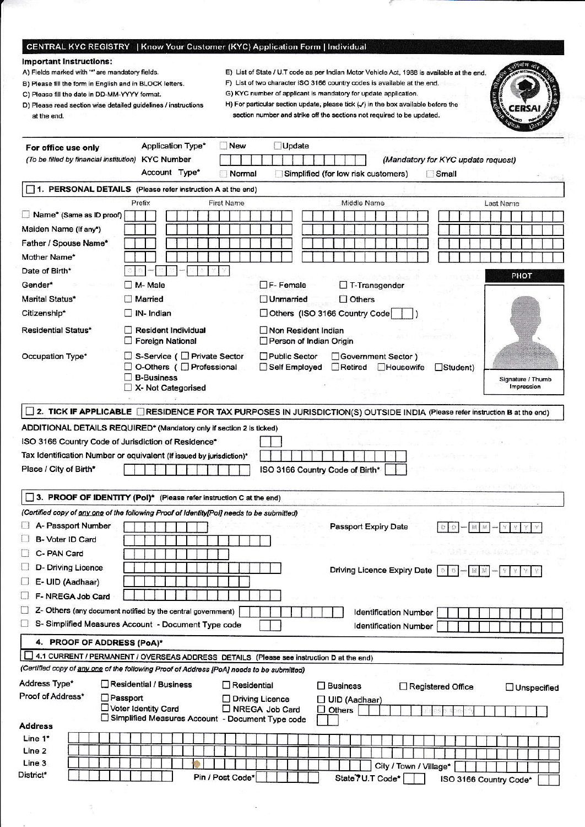## CENTRAL KYC REGISTRY | Know Your Customer (KYC) Application Form | Individual

## **Important Instructions:**

- A) Fields marked with "" are mandatory fields.
- B) Please fill the form in English and in BLOCK letters.
- C) Please fill the date in DD-MM-YYYY format.
- D) Please read section wise detailed guidelines / instructions at the end.
- E) List of State / U.T code as per Indian Motor Vehicle Act, 1988 is available at the end.
- F) List of two character ISO 3166 country codes is available at the end. G) KYC number of applicant is mandatory for update application.
- H) For particular section update, please tick  $(\checkmark)$  in the box available before the

section number and strike off the sections not required to be updated.

|                                         |                                                                                           | $u_{\rm{t}}$                                                                                                               |
|-----------------------------------------|-------------------------------------------------------------------------------------------|----------------------------------------------------------------------------------------------------------------------------|
| For office use only                     | Application Type*<br><b>New</b>                                                           | Update                                                                                                                     |
| (To be filled by financial institution) | <b>KYC Number</b>                                                                         | (Mandatory for KYC update request)                                                                                         |
|                                         | Account Type*<br>Normal                                                                   | Simplified (for low risk customers)<br>Small                                                                               |
|                                         | 1. PERSONAL DETAILS (Please refer instruction A at the end)                               |                                                                                                                            |
|                                         | Prefix<br>First Name                                                                      | Middle Name<br>Last Name                                                                                                   |
| Name* (Same as ID proof)                |                                                                                           |                                                                                                                            |
| Maiden Name (If any*)                   |                                                                                           |                                                                                                                            |
| Father / Spouse Name*                   |                                                                                           |                                                                                                                            |
| Mother Name*                            |                                                                                           |                                                                                                                            |
| Date of Birth*                          |                                                                                           | PHOT                                                                                                                       |
| Gender*                                 | $\Box$ M- Male                                                                            | $\Box$ F-Female<br>$\Box$ T-Transgender                                                                                    |
| Marital Status*                         | <b>Narried</b>                                                                            | $\Box$ Others<br><b>Unmarried</b>                                                                                          |
| Citizenship*                            | $\Box$ IN- Indian                                                                         | Others (ISO 3166 Country Code                                                                                              |
| Residential Status*                     | Resident Individual<br>Foreign National                                                   | Non Resident Indian<br>Person of Indian Origin                                                                             |
| Occupation Type*                        | □ S-Service (□ Private Sector                                                             | Public Sector<br>Government Sector)                                                                                        |
|                                         | □ O-Others (□ Professional                                                                | □ Self Employed<br>Retired<br><b>Housewife</b><br>$\Box$ Student)                                                          |
|                                         | $\Box$ B-Business<br>X- Not Categorised                                                   | Signature / Thumb<br>Impression                                                                                            |
|                                         |                                                                                           |                                                                                                                            |
|                                         |                                                                                           | 2. TICK IF APPLICABLE CRESIDENCE FOR TAX PURPOSES IN JURISDICTION(S) OUTSIDE INDIA (Please refer instruction B at the end) |
|                                         | ADDITIONAL DETAILS REQUIRED* (Mandatory only if section 2 is ticked)                      |                                                                                                                            |
|                                         | ISO 3166 Country Code of Jurisdiction of Residence*                                       |                                                                                                                            |
|                                         | Tax Identification Number or equivalent (If issued by jurisdiction)*                      |                                                                                                                            |
| Place / City of Birth*                  |                                                                                           | ISO 3166 Country Code of Birth*                                                                                            |
|                                         |                                                                                           |                                                                                                                            |
|                                         | 3. PROOF OF IDENTITY (Pol)* (Please refer instruction C at the end)                       |                                                                                                                            |
|                                         | (Certified copy of any one of the following Proof of Identity[Pol] needs to be submitted) |                                                                                                                            |
| A- Passport Number                      |                                                                                           | Passport Expiry Date<br>發<br>Ð                                                                                             |
| B- Voter ID Card                        |                                                                                           |                                                                                                                            |
| C- PAN Card                             |                                                                                           | on Prince & Martin                                                                                                         |
| D- Driving Licence                      |                                                                                           | Driving Licence Expiry Date   0   0   -   M   M   -   Y   Y   Y   Y                                                        |
| E- UID (Aadhaar)                        |                                                                                           |                                                                                                                            |
| F-NREGA Job Card                        |                                                                                           |                                                                                                                            |
|                                         | Z- Others (any document notified by the central government)                               | <b>Identification Number</b>                                                                                               |
|                                         | S- Simplified Measures Account - Document Type code                                       | <b>Identification Number</b>                                                                                               |
| 4. PROOF OF ADDRESS (PoA)*              |                                                                                           |                                                                                                                            |
| LΙ                                      | 4.1 CURRENT / PERMANENT / OVERSEAS ADDRESS DETAILS (Please see instruction D at the end)  |                                                                                                                            |
|                                         | (Certified copy of any one of the following Proof of Address [PoA] needs to be submitted) |                                                                                                                            |
| Address Type*                           | Residential / Business                                                                    |                                                                                                                            |
| Proof of Address*                       | Residential<br>Passport                                                                   | $\square$ Business<br>Registered Office<br>$\Box$ Unspecified<br>Diving Licence                                            |
|                                         | □ Voter Identity Card                                                                     | UID (Aadhaar)<br>NREGA Job Card<br>Others<br>$\mathcal{L}$                                                                 |
| <b>Address</b>                          | □ Simplified Measures Account - Document Type code                                        |                                                                                                                            |
| Line 1*                                 |                                                                                           |                                                                                                                            |
| Line 2                                  |                                                                                           |                                                                                                                            |
| Line 3                                  |                                                                                           | City / Town / Village*                                                                                                     |
| District*                               | Pin / Post Code*                                                                          | State 7U.T Code*<br>ISO 3166 Country Code*                                                                                 |
|                                         |                                                                                           |                                                                                                                            |